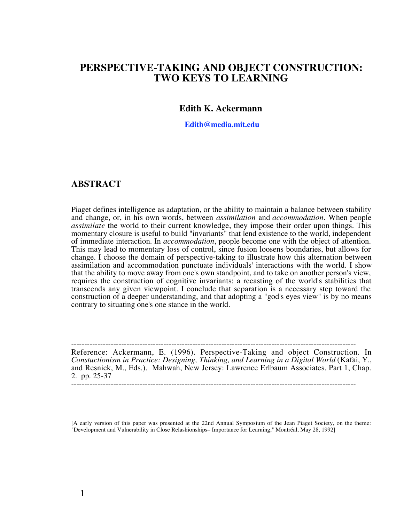# **PERSPECTIVE-TAKING AND OBJECT CONSTRUCTION: TWO KEYS TO LEARNING**

### **Edith K. Ackermann**

 **Edith@media.mit.edu**

### **ABSTRACT**

Piaget defines intelligence as adaptation, or the ability to maintain a balance between stability and change, or, in his own words, between *assimilation* and *accommodation.* When people *assimilate* the world to their current knowledge, they impose their order upon things. This momentary closure is useful to build "invariants" that lend existence to the world, independent of immediate interaction. In *accommodation*, people become one with the object of attention. This may lead to momentary loss of control, since fusion loosens boundaries, but allows for change. I choose the domain of perspective-taking to illustrate how this alternation between assimilation and accommodation punctuate individuals' interactions with the world. I show that the ability to move away from one's own standpoint, and to take on another person's view, requires the construction of cognitive invariants: a recasting of the world's stabilities that transcends any given viewpoint. I conclude that separation is a necessary step toward the construction of a deeper understanding, and that adopting a "god's eyes view" is by no means contrary to situating one's one stance in the world.

------------------------------------------------------------------------------------------------------------ Reference: Ackermann, E. (1996). Perspective-Taking and object Construction. In *Constuctionism in Practice: Designing, Thinking, and Learning in a Digital World* (Kafai, Y., and Resnick, M., Eds.). Mahwah, New Jersey: Lawrence Erlbaum Associates. Part 1, Chap. 2. pp. 25-37

------------------------------------------------------------------------------------------------------------

[A early version of this paper was presented at the 22nd Annual Symposium of the Jean Piaget Society, on the theme: "Development and Vulnerability in Close Relashionships– Importance for Learning," Montréal, May 28, 1992]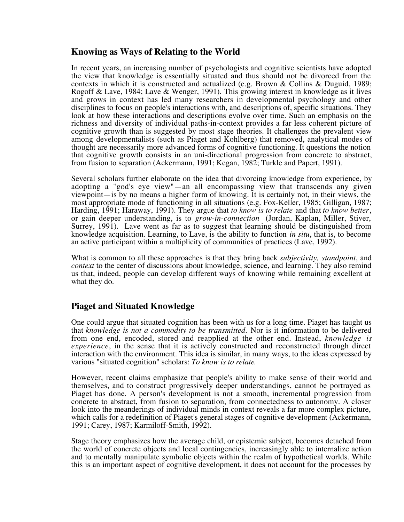## **Knowing as Ways of Relating to the World**

In recent years, an increasing number of psychologists and cognitive scientists have adopted the view that knowledge is essentially situated and thus should not be divorced from the contexts in which it is constructed and actualized (e.g. Brown & Collins & Duguid, 1989; Rogoff & Lave, 1984; Lave & Wenger, 1991). This growing interest in knowledge as it lives and grows in context has led many researchers in developmental psychology and other disciplines to focus on people's interactions with, and descriptions of, specific situations. They look at how these interactions and descriptions evolve over time. Such an emphasis on the richness and diversity of individual paths-in-context provides a far less coherent picture of cognitive growth than is suggested by most stage theories. It challenges the prevalent view among developmentalists (such as Piaget and Kohlberg) that removed, analytical modes of thought are necessarily more advanced forms of cognitive functioning. It questions the notion that cognitive growth consists in an uni-directional progression from concrete to abstract, from fusion to separation (Ackermann, 1991; Kegan, 1982; Turkle and Papert, 1991).

Several scholars further elaborate on the idea that divorcing knowledge from experience, by adopting a "god's eye view"—an all encompassing view that transcends any given viewpoint—is by no means a higher form of knowing. It is certainly not, in their views, the most appropriate mode of functioning in all situations (e.g. Fox-Keller, 1985; Gilligan, 1987; Harding, 1991; Haraway, 1991). They argue that *to know is to relate* and that *to know better*, or gain deeper understanding, is to *grow-in-connection* (Jordan, Kaplan, Miller, Stiver, Surrey, 1991). Lave went as far as to suggest that learning should be distinguished from knowledge acquisition. Learning, to Lave, is the ability to function *in situ*, that is, to become an active participant within a multiplicity of communities of practices (Lave, 1992).

What is common to all these approaches is that they bring back *subjectivity, standpoint*, and *context* to the center of discussions about knowledge, science, and learning. They also remind us that, indeed, people can develop different ways of knowing while remaining excellent at what they do.

## **Piaget and Situated Knowledge**

One could argue that situated cognition has been with us for a long time. Piaget has taught us that *knowledge is not a commodity to be transmitted.* Nor is it information to be delivered from one end, encoded, stored and reapplied at the other end. Instead, *knowledge is experience*, in the sense that it is actively constructed and reconstructed through direct interaction with the environment. This idea is similar, in many ways, to the ideas expressed by various "situated cognition" scholars: *To know is to relate*.

However, recent claims emphasize that people's ability to make sense of their world and themselves, and to construct progressively deeper understandings, cannot be portrayed as Piaget has done. A person's development is not a smooth, incremental progression from concrete to abstract, from fusion to separation, from connectedness to autonomy. A closer look into the meanderings of individual minds in context reveals a far more complex picture, which calls for a redefinition of Piaget's general stages of cognitive development (Ackermann, 1991; Carey, 1987; Karmiloff-Smith, 1992).

Stage theory emphasizes how the average child, or epistemic subject, becomes detached from the world of concrete objects and local contingencies, increasingly able to internalize action and to mentally manipulate symbolic objects within the realm of hypothetical worlds. While this is an important aspect of cognitive development, it does not account for the processes by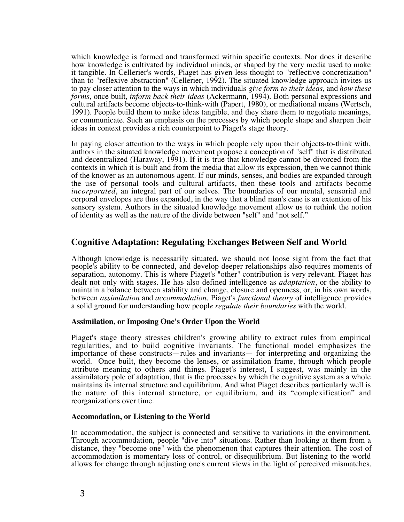which knowledge is formed and transformed within specific contexts. Nor does it describe how knowledge is cultivated by individual minds, or shaped by the very media used to make it tangible. In Cellerier's words, Piaget has given less thought to "reflective concretization" than to "reflexive abstraction" (Cellerier, 1992). The situated knowledge approach invites us to pay closer attention to the ways in which individuals *give form to their ideas*, and *how these forms*, once built, *inform back their ideas* (Ackermann, 1994). Both personal expressions and cultural artifacts become objects-to-think-with (Papert, 1980), or mediational means (Wertsch, 1991). People build them to make ideas tangible, and they share them to negotiate meanings, or communicate. Such an emphasis on the processes by which people shape and sharpen their ideas in context provides a rich counterpoint to Piaget's stage theory.

In paying closer attention to the ways in which people rely upon their objects-to-think with, authors in the situated knowledge movement propose a conception of "self" that is distributed and decentralized (Haraway, 1991). If it is true that knowledge cannot be divorced from the contexts in which it is built and from the media that allow its expression, then we cannot think of the knower as an autonomous agent. If our minds, senses, and bodies are expanded through the use of personal tools and cultural artifacts, then these tools and artifacts become *incorporated*, an integral part of our selves. The boundaries of our mental, sensorial and corporal envelopes are thus expanded, in the way that a blind man's cane is an extention of his sensory system. Authors in the situated knowledge movement allow us to rethink the notion of identity as well as the nature of the divide between "self" and "not self."

## **Cognitive Adaptation: Regulating Exchanges Between Self and World**

Although knowledge is necessarily situated, we should not loose sight from the fact that people's ability to be connected, and develop deeper relationships also requires moments of separation, autonomy. This is where Piaget's "other" contribution is very relevant. Piaget has dealt not only with stages. He has also defined intelligence as *adaptation*, or the ability to maintain a balance between stability and change, closure and openness, or, in his own words, between *assimilation* and *accommodation.* Piaget's *functional theory* of intelligence provides a solid ground for understanding how peopl*e regulate their boundaries* with the world.

### **Assimilation, or Imposing One's Order Upon the World**

Piaget's stage theory stresses children's growing ability to extract rules from empirical regularities, and to build cognitive invariants. The functional model emphasizes the importance of these constructs—rules and invariants— for interpreting and organizing the world. Once built, they become the lenses, or assimilation frame, through which people attribute meaning to others and things. Piaget's interest, I suggest, was mainly in the assimilatory pole of adaptation, that is the processes by which the cognitive system as a whole maintains its internal structure and equilibrium. And what Piaget describes particularly well is the nature of this internal structure, or equilibrium, and its "complexification" and reorganizations over time.

### **Accomodation, or Listening to the World**

In accommodation, the subject is connected and sensitive to variations in the environment. Through accommodation, people "dive into" situations. Rather than looking at them from a distance, they "become one" with the phenomenon that captures their attention. The cost of accommodation is momentary loss of control, or disequilibrium. But listening to the world allows for change through adjusting one's current views in the light of perceived mismatches.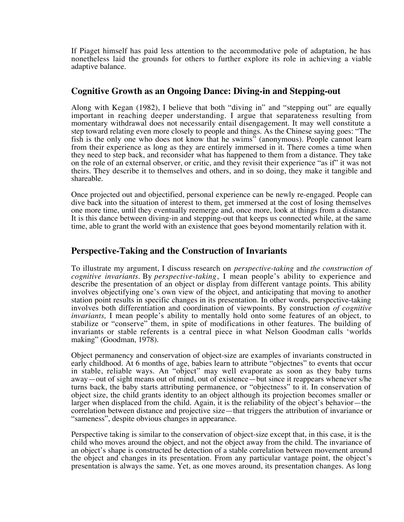If Piaget himself has paid less attention to the accommodative pole of adaptation, he has nonetheless laid the grounds for others to further explore its role in achieving a viable adaptive balance.

## **Cognitive Growth as an Ongoing Dance: Diving-in and Stepping-out**

Along with Kegan (1982), I believe that both "diving in" and "stepping out" are equally important in reaching deeper understanding. I argue that separateness resulting from momentary withdrawal does not necessarily entail disengagement. It may well constitute a step toward relating even more closely to people and things. As the Chinese saying goes: "The fish is the only one who does not know that he swims" (anonymous). People cannot learn from their experience as long as they are entirely immersed in it. There comes a time when they need to step back, and reconsider what has happened to them from a distance. They take on the role of an external observer, or critic, and they revisit their experience "as if" it was not theirs. They describe it to themselves and others, and in so doing, they make it tangible and shareable.

Once projected out and objectified, personal experience can be newly re-engaged. People can dive back into the situation of interest to them, get immersed at the cost of losing themselves one more time, until they eventually reemerge and, once more, look at things from a distance. It is this dance between diving-in and stepping-out that keeps us connected while, at the same time, able to grant the world with an existence that goes beyond momentarily relation with it.

## **Perspective-Taking and the Construction of Invariants**

To illustrate my argument, I discuss research on *perspective-taking* and *the construction of cognitive invariants*. By *perspective-taking*, I mean people's ability to experience and describe the presentation of an object or display from different vantage points. This ability involves objectifying one's own view of the object, and anticipating that moving to another station point results in specific changes in its presentation. In other words, perspective-taking involves both differentiation and coordination of viewpoints. By construction *of cognitive invariants,* I mean people's ability to mentally hold onto some features of an object, to stabilize or "conserve" them, in spite of modifications in other features. The building of invariants or stable referents is a central piece in what Nelson Goodman calls 'worlds making" (Goodman, 1978).

Object permanency and conservation of object-size are examples of invariants constructed in early childhood. At 6 months of age, babies learn to attribute "objectnes" to events that occur in stable, reliable ways. An "object" may well evaporate as soon as they baby turns away—out of sight means out of mind, out of existence—but since it reappears whenever s/he turns back, the baby starts attributing permanence, or "objectness" to it. In conservation of object size, the child grants identity to an object although its projection becomes smaller or larger when displaced from the child. Again, it is the reliability of the object's behavior—the correlation between distance and projective size—that triggers the attribution of invariance or "sameness", despite obvious changes in appearance.

Perspective taking is similar to the conservation of object-size except that, in this case, it is the child who moves around the object, and not the object away from the child. The invariance of an object's shape is constructed be detection of a stable correlation between movement around the object and changes in its presentation. From any particular vantage point, the object's presentation is always the same. Yet, as one moves around, its presentation changes. As long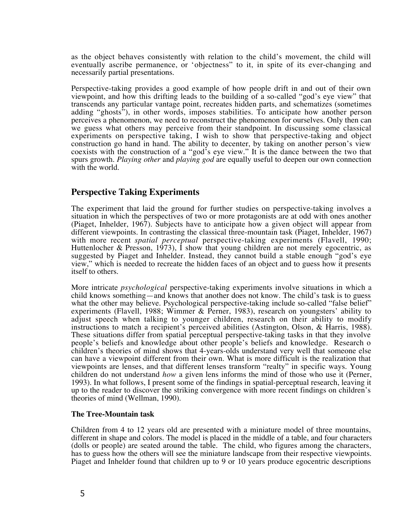as the object behaves consistently with relation to the child's movement, the child will eventually ascribe permanence, or 'objectness" to it, in spite of its ever-changing and necessarily partial presentations.

Perspective-taking provides a good example of how people drift in and out of their own viewpoint, and how this drifting leads to the building of a so-called "god's eye view" that transcends any particular vantage point, recreates hidden parts, and schematizes (sometimes adding "ghosts"), in other words, imposes stabilities. To anticipate how another person perceives a phenomenon, we need to reconstruct the phenomenon for ourselves. Only then can we guess what others may perceive from their standpoint. In discussing some classical experiments on perspective taking, I wish to show that perspective-taking and object construction go hand in hand. The ability to decenter, by taking on another person's view coexists with the construction of a "god's eye view." It is the dance between the two that spurs growth. *Playing other* and *playing god* are equally useful to deepen our own connection with the world.

## **Perspective Taking Experiments**

The experiment that laid the ground for further studies on perspective-taking involves a situation in which the perspectives of two or more protagonists are at odd with ones another (Piaget, Inhelder, 1967). Subjects have to anticipate how a given object will appear from different viewpoints. In contrasting the classical three-mountain task (Piaget, Inhelder, 1967) with more recent *spatial perceptual* perspective-taking experiments (Flavell, 1990; Huttenlocher & Presson, 1973), I show that young children are not merely egocentric, as suggested by Piaget and Inhelder. Instead, they cannot build a stable enough "god's eye view," which is needed to recreate the hidden faces of an object and to guess how it presents itself to others.

More intricate *psychological* perspective-taking experiments involve situations in which a child knows something—and knows that another does not know. The child's task is to guess what the other may believe. Psychological perspective-taking include so-called "false belief" experiments (Flavell, 1988; Wimmer & Perner, 1983), research on youngsters' ability to adjust speech when talking to younger children, research on their ability to modify instructions to match a recipient's perceived abilities (Astington, Olson, & Harris, 1988). These situations differ from spatial perceptual perspective-taking tasks in that they involve people's beliefs and knowledge about other people's beliefs and knowledge. Research o children's theories of mind shows that 4-years-olds understand very well that someone else can have a viewpoint different from their own. What is more difficult is the realization that viewpoints are lenses, and that different lenses transform "realty" in specific ways. Young children do not understand *how* a given lens informs the mind of those who use it (Perner, 1993). In what follows, I present some of the findings in spatial-perceptual research, leaving it up to the reader to discover the striking convergence with more recent findings on children's theories of mind (Wellman, 1990).

### **The Tree-Mountain task**

Children from 4 to 12 years old are presented with a miniature model of three mountains, different in shape and colors. The model is placed in the middle of a table, and four characters (dolls or people) are seated around the table. The child, who figures among the characters, has to guess how the others will see the miniature landscape from their respective viewpoints. Piaget and Inhelder found that children up to 9 or 10 years produce egocentric descriptions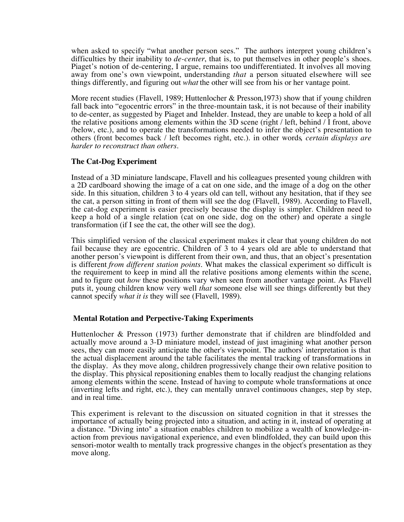when asked to specify "what another person sees." The authors interpret young children's difficulties by their inability to *de-center*, that is, to put themselves in other people's shoes. Piaget's notion of de-centering, I argue, remains too undifferentiated. It involves all moving away from one's own viewpoint, understanding *that* a person situated elsewhere will see things differently, and figuring out *what* the other will see from his or her vantage point.

More recent studies (Flavell, 1989; Huttenlocher & Presson,1973) show that if young children fall back into "egocentric errors" in the three-mountain task, it is not because of their inability to de-center, as suggested by Piaget and Inhelder. Instead, they are unable to keep a hold of all the relative positions among elements within the 3D scene (right / left, behind / I front, above /below, etc.), and to operate the transformations needed to infer the object's presentation to others (front becomes back / left becomes right, etc.). in other words*, certain displays are harder to reconstruct than others*.

### **The Cat-Dog Experiment**

Instead of a 3D miniature landscape, Flavell and his colleagues presented young children with a 2D cardboard showing the image of a cat on one side, and the image of a dog on the other side. In this situation, children 3 to 4 years old can tell, without any hesitation, that if they see the cat, a person sitting in front of them will see the dog (Flavell, 1989). According to Flavell, the cat-dog experiment is easier precisely because the display is simpler. Children need to keep a hold of a single relation (cat on one side, dog on the other) and operate a single transformation (if I see the cat, the other will see the dog).

This simplified version of the classical experiment makes it clear that young children do not fail because they are egocentric. Children of 3 to 4 years old are able to understand that another person's viewpoint is different from their own, and thus, that an object's presentation is different *from different station points*. What makes the classical experiment so difficult is the requirement to keep in mind all the relative positions among elements within the scene, and to figure out *how* these positions vary when seen from another vantage point. As Flavell puts it, young children know very well *that* someone else will see things differently but they cannot specify *what it is* they will see (Flavell, 1989).

### **Mental Rotation and Perpective-Taking Experiments**

Huttenlocher & Presson (1973) further demonstrate that if children are blindfolded and actually move around a 3-D miniature model, instead of just imagining what another person sees, they can more easily anticipate the other's viewpoint. The authors' interpretation is that the actual displacement around the table facilitates the mental tracking of transformations in the display. As they move along, children progressively change their own relative position to the display. This physical repositioning enables them to locally readjust the changing relations among elements within the scene. Instead of having to compute whole transformations at once (inverting lefts and right, etc.), they can mentally unravel continuous changes, step by step, and in real time.

This experiment is relevant to the discussion on situated cognition in that it stresses the importance of actually being projected into a situation, and acting in it, instead of operating at a distance. "Diving into" a situation enables children to mobilize a wealth of knowledge-inaction from previous navigational experience, and even blindfolded, they can build upon this sensori-motor wealth to mentally track progressive changes in the object's presentation as they move along.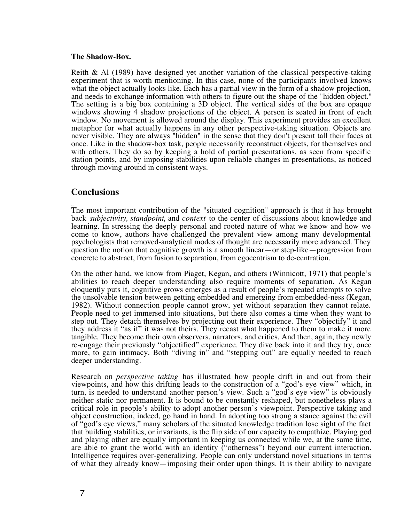### **The Shadow-Box.**

Reith & Al (1989) have designed yet another variation of the classical perspective-taking experiment that is worth mentioning. In this case, none of the participants involved knows what the object actually looks like. Each has a partial view in the form of a shadow projection, and needs to exchange information with others to figure out the shape of the "hidden object." The setting is a big box containing a 3D object. The vertical sides of the box are opaque windows showing 4 shadow projections of the object. A person is seated in front of each window. No movement is allowed around the display. This experiment provides an excellent metaphor for what actually happens in any other perspective-taking situation. Objects are never visible. They are always "hidden" in the sense that they don't present tall their faces at once. Like in the shadow-box task, people necessarily reconstruct objects, for themselves and with others. They do so by keeping a hold of partial presentations, as seen from specific station points, and by imposing stabilities upon reliable changes in presentations, as noticed through moving around in consistent ways.

### **Conclusions**

The most important contribution of the "situated cognition" approach is that it has brought back *subjectivity, standpoint*, and *context* to the center of discussions about knowledge and learning. In stressing the deeply personal and rooted nature of what we know and how we come to know, authors have challenged the prevalent view among many developmental psychologists that removed-analytical modes of thought are necessarily more advanced. They question the notion that cognitive growth is a smooth linear—or step-like—progression from concrete to abstract, from fusion to separation, from egocentrism to de-centration.

On the other hand, we know from Piaget, Kegan, and others (Winnicott, 1971) that people's abilities to reach deeper understanding also require moments of separation. As Kegan eloquently puts it, cognitive grows emerges as a result of people's repeated attempts to solve the unsolvable tension between getting embedded and emerging from embedded-ness (Kegan, 1982). Without connection people cannot grow, yet without separation they cannot relate. People need to get immersed into situations, but there also comes a time when they want to step out. They detach themselves by projecting out their experience. They "objectify" it and they address it "as if" it was not theirs. They recast what happened to them to make it more tangible. They become their own observers, narrators, and critics. And then, again, they newly re-engage their previously "objectified" experience. They dive back into it and they try, once more, to gain intimacy. Both "diving in" and "stepping out" are equally needed to reach deeper understanding.

Research on *perspective taking* has illustrated how people drift in and out from their viewpoints, and how this drifting leads to the construction of a "god's eye view" which, in turn, is needed to understand another person's view. Such a "god's eye view" is obviously neither static nor permanent. It is bound to be constantly reshaped, but nonetheless plays a critical role in people's ability to adopt another person's viewpoint. Perspective taking and object construction, indeed, go hand in hand. In adopting too strong a stance against the evil of "god's eye views," many scholars of the situated knowledge tradition lose sight of the fact that building stabilities, or invariants, is the flip side of our capacity to empathize. Playing god and playing other are equally important in keeping us connected while we, at the same time, are able to grant the world with an identity ("otherness") beyond our current interaction. Intelligence requires over-generalizing. People can only understand novel situations in terms of what they already know—imposing their order upon things. It is their ability to navigate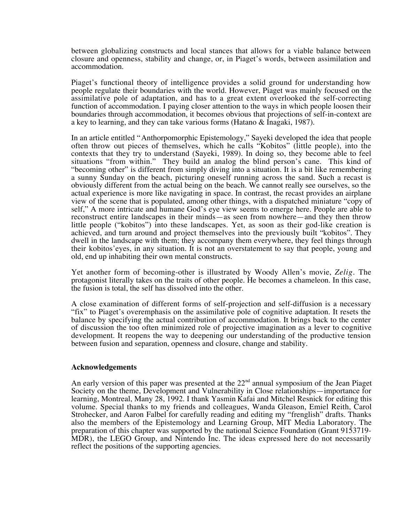between globalizing constructs and local stances that allows for a viable balance between closure and openness, stability and change, or, in Piaget's words, between assimilation and accommodation.

Piaget's functional theory of intelligence provides a solid ground for understanding how people regulate their boundaries with the world. However, Piaget was mainly focused on the assimilative pole of adaptation, and has to a great extent overlooked the self-correcting function of accommodation. I paying closer attention to the ways in which people loosen their boundaries through accommodation, it becomes obvious that projections of self-in-context are a key to learning, and they can take various forms (Hatano & Inagaki, 1987).

In an article entitled "Anthorpomorphic Epistemology," Sayeki developed the idea that people often throw out pieces of themselves, which he calls "Kobitos" (little people), into the contexts that they try to understand (Sayeki, 1989). In doing so, they become able to feel situations "from within." They build an analog the blind person's cane. This kind of "becoming other" is different from simply diving into a situation. It is a bit like remembering a sunny Sunday on the beach, picturing oneself running across the sand. Such a recast is obviously different from the actual being on the beach. We cannot really see ourselves, so the actual experience is more like navigating in space. In contrast, the recast provides an airplane view of the scene that is populated, among other things, with a dispatched miniature "copy of self," A more intricate and humane God's eye view seems to emerge here. People are able to reconstruct entire landscapes in their minds—as seen from nowhere—and they then throw little people ("kobitos") into these landscapes. Yet, as soon as their god-like creation is achieved, and turn around and project themselves into the previously built "kobitos". They dwell in the landscape with them; they accompany them everywhere, they feel things through their kobitos'eyes, in any situation. It is not an overstatement to say that people, young and old, end up inhabiting their own mental constructs.

Yet another form of becoming-other is illustrated by Woody Allen's movie, *Zelig*. The protagonist literally takes on the traits of other people. He becomes a chameleon. In this case, the fusion is total, the self has dissolved into the other.

A close examination of different forms of self-projection and self-diffusion is a necessary "fix" to Piaget's overemphasis on the assimilative pole of cognitive adaptation. It resets the balance by specifying the actual contribution of accommodation. It brings back to the center of discussion the too often minimized role of projective imagination as a lever to cognitive development. It reopens the way to deepening our understanding of the productive tension between fusion and separation, openness and closure, change and stability.

### **Acknowledgements**

An early version of this paper was presented at the  $22<sup>nd</sup>$  annual symposium of the Jean Piaget Society on the theme, Development and Vulnerability in Close relationships—importance for learning, Montreal, Many 28, 1992. I thank Yasmin Kafai and Mitchel Resnick for editing this volume. Special thanks to my friends and colleagues, Wanda Gleason, Emiel Reith, Carol Strohecker, and Aaron Falbel for carefully reading and editing my "frenglish" drafts. Thanks also the members of the Epistemology and Learning Group, MIT Media Laboratory. The preparation of this chapter was supported by the national Science Foundation (Grant 9153719- MDR), the LEGO Group, and Nintendo Inc. The ideas expressed here do not necessarily reflect the positions of the supporting agencies.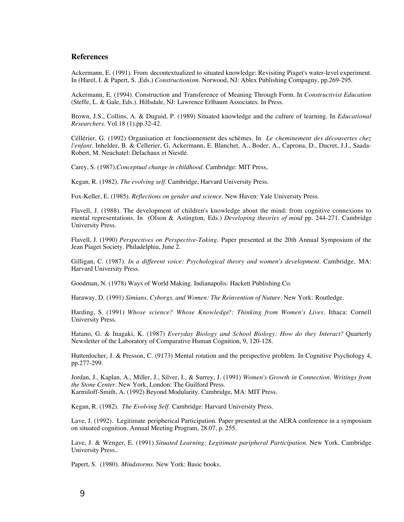#### **References**

Ackermann, E. (1991). From decontextualized to situated knowledge: Revisiting Piaget's water-level experiment. In (Harel, I. & Papert, S. ,Eds.) *Constructionism*. Norwood, NJ: Ablex Publishing Compagny, pp.269-295.

Ackermann, E. (1994). Construction and Transference of Meaning Through Form. In *Constructivist Education* (Steffe, L. & Gale, Eds.). Hillsdale, NJ: Lawrence Erlbaum Associates. In Press.

Brown, J.S., Collins, A. & Duguid, P. (1989) Situated knowledge and the culture of learning. In *Educational Researchers.* Vol.18 (1).pp.32-42.

Céllérier, G. (1992) Organisation et fonctionnement des schèmes. In *Le cheminement des découvertes chez l'enfant.* Inhelder, B. & Cellerier, G, Ackermann, E. Blanchet, A., Boder, A., Caprona, D., Ducret, J.J., Saada-Robert, M. Neuchatel: Delachaux et Niestlé.

Carey, S. (1987).*Conceptual change in childhood*. Cambridge: MIT Press,

Kegan, R. (1982). *The evolving self.* Cambridge, Harvard University Press.

Fox-Keller, E. (1985). *Reflections on gender and science.* New Haven: Yale University Press.

Flavell, J. (1988). The development of children's knowledge about the mind: from cognitive connexions to mental representations. In (Olson & Astington, Eds.) *Developing theories of mind* pp. 244-271. Cambridge University Press.

Flavell, J. (1990) *Perspectives on Perspective-Taking.* Paper presented at the 20th Annual Symposium of the Jean Piaget Society. Philadelphia, June 2.

Gilligan, C. (1987). *In a different voice: Psychological theory and women's development*. Cambridge, MA: Harvard University Press.

Goodman, N. (1978) Ways of World Making. Indianapolis: Hackett Publishing Co.

Haraway, D. (1991) *Simians, Cyborgs, and Women: The Reinvention of Nature.* New York: Routledge.

Harding, S. (1991) *Whose science? Whose Knowledge?: Thinking from Women's Lives*. Ithaca: Cornell University Press.

Hatano, G. & Inagaki, K. (1987) *Everyday Biology and School Biology: How do they Interact?* Quarterly Newsletter of the Laboratory of Comparative Human Cognition, 9, 120-128.

Huttenlocher, J. & Presson, C. (9173) Mental rotation and the perspective problem. In Cognitive Psychology 4, pp.277-299.

Jordan, J., Kaplan, A., Miller, J., Silver, I., & Surrey, J. (1991) *Women's Growth in Connection. Writings from the Stone Center*. New York, London: The Guilford Press. Karmiloff-Smith, A. (1992) Beyond Modularity. Cambridge, MA: MIT Press.

Kegan, R. (1982). *The Evolving Self.* Cambridge: Harvard University Press.

Lave, J. (1992). Legitimate peripherical Participation. Paper presented at the AERA conference in a symposium on situated cognition. Annual Meeting Program, 28.07, p. 255.

Lave, J. & Wenger, E. (1991) *Situated Learning: Legitimate paripheral Participation.* New York. Cambridge University Press..

Papert, S. (1980). *Mindstorms.* New York: Basic books.